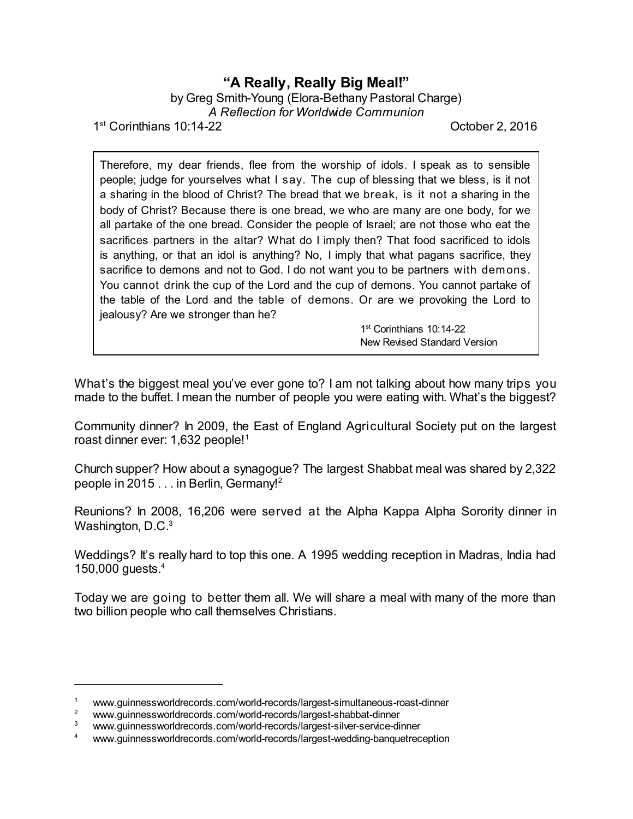## **"A Really, Really Big Meal!"** by Greg Smith-Young (Elora-Bethany Pastoral Charge)

*A Reflection for Worldwide Communion*

1<sup>st</sup> Corinthians 10:14-22 **Corinthians** 10:14-22

Therefore, my dear friends, flee from the worship of idols. I speak as to sensible people; judge for yourselves what I say. The cup of blessing that we bless, is it not a sharing in the blood of Christ? The bread that we break, is it not a sharing in the body of Christ? Because there is one bread, we who are many are one body, for we all partake of the one bread. Consider the people of Israel; are not those who eat the sacrifices partners in the altar? What do I imply then? That food sacrificed to idols is anything, or that an idol is anything? No, I imply that what pagans sacrifice, they sacrifice to demons and not to God. I do not want you to be partners with demons. You cannot drink the cup of the Lord and the cup of demons. You cannot partake of the table of the Lord and the table of demons. Or are we provoking the Lord to jealousy? Are we stronger than he?

> 1 st Corinthians 10:14-22 New Revised Standard Version

What's the biggest meal you've ever gone to? I am not talking about how many trips you made to the buffet. I mean the number of people you were eating with. What's the biggest?

Community dinner? In 2009, the East of England Agricultural Society put on the largest roast dinner ever: 1,632 people!<sup>1</sup>

Church supper? How about a synagogue? The largest Shabbat meal was shared by 2,322 people in 2015 . . . in Berlin, Germany!<sup>2</sup>

Reunions? In 2008, 16,206 were served at the Alpha Kappa Alpha Sorority dinner in Washington, D.C. $^3$ 

Weddings? It's really hard to top this one. A 1995 wedding reception in Madras, India had 150,000 guests.<sup>4</sup>

Today we are going to better them all. We will share a meal with many of the more than two billion people who call themselves Christians.

<sup>1</sup> www.guinnessworldrecords.com/world-records/largest-simultaneous-roast-dinner

www.guinnessworldrecords.com/world-records/largest-shabbat-dinner

www.guinnessworldrecords.com/world-records/largest-silver-service-dinner

<sup>4</sup> www.guinnessworldrecords.com/world-records/largest-wedding-banquetreception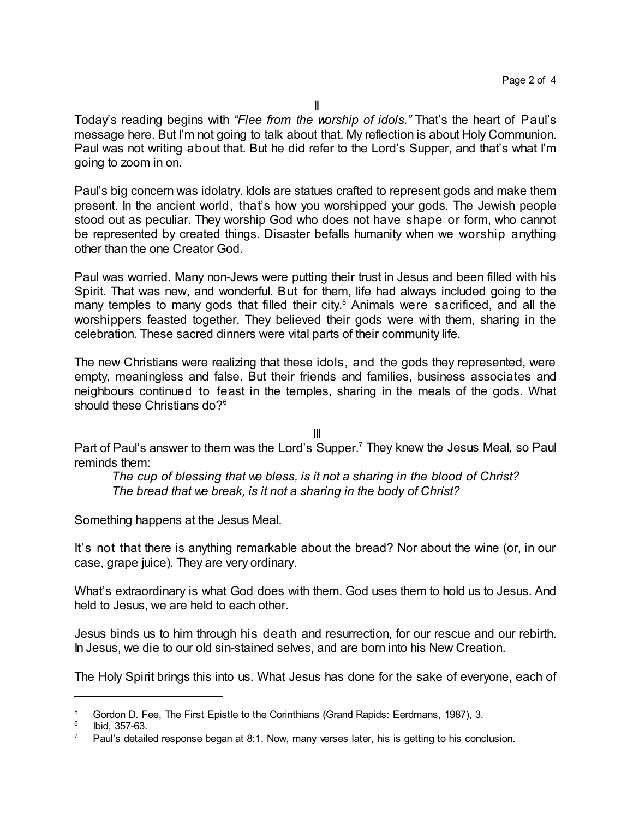Today's reading begins with *"Flee from the worship of idols."* That's the heart of Paul's message here. But I'm not going to talk about that. My reflection is about Holy Communion. Paul was not writing about that. But he did refer to the Lord's Supper, and that's what I'm going to zoom in on.

Paul's big concern was idolatry. Idols are statues crafted to represent gods and make them present. In the ancient world, that's how you worshipped your gods. The Jewish people stood out as peculiar. They worship God who does not have shape or form, who cannot be represented by created things. Disaster befalls humanity when we worship anything other than the one Creator God.

Paul was worried. Many non-Jews were putting their trust in Jesus and been filled with his Spirit. That was new, and wonderful. But for them, life had always included going to the many temples to many gods that filled their city. <sup>5</sup> Animals were sacrificed, and all the worshippers feasted together. They believed their gods were with them, sharing in the celebration. These sacred dinners were vital parts of their community life.

The new Christians were realizing that these idols, and the gods they represented, were empty, meaningless and false. But their friends and families, business associates and neighbours continued to feast in the temples, sharing in the meals of the gods. What should these Christians do?<sup>6</sup>

III

Part of Paul's answer to them was the Lord's Supper.<sup>7</sup> They knew the Jesus Meal, so Paul reminds them:

*The cup of blessing that we bless, is it not a sharing in the blood of Christ? The bread that we break, is it not a sharing in the body of Christ?*

Something happens at the Jesus Meal.

It's not that there is anything remarkable about the bread? Nor about the wine (or, in our case, grape juice). They are very ordinary.

What's extraordinary is what God does with them. God uses them to hold us to Jesus. And held to Jesus, we are held to each other.

Jesus binds us to him through his death and resurrection, for our rescue and our rebirth. In Jesus, we die to our old sin-stained selves, and are born into his New Creation.

The Holy Spirit brings this into us. What Jesus has done for the sake of everyone, each of

<sup>&</sup>lt;sup>5</sup> Gordon D. Fee, The First Epistle to the Corinthians (Grand Rapids: Eerdmans, 1987), 3.

<sup>6</sup> Ibid, 357-63.

 $7$  Paul's detailed response began at 8:1. Now, many verses later, his is getting to his conclusion.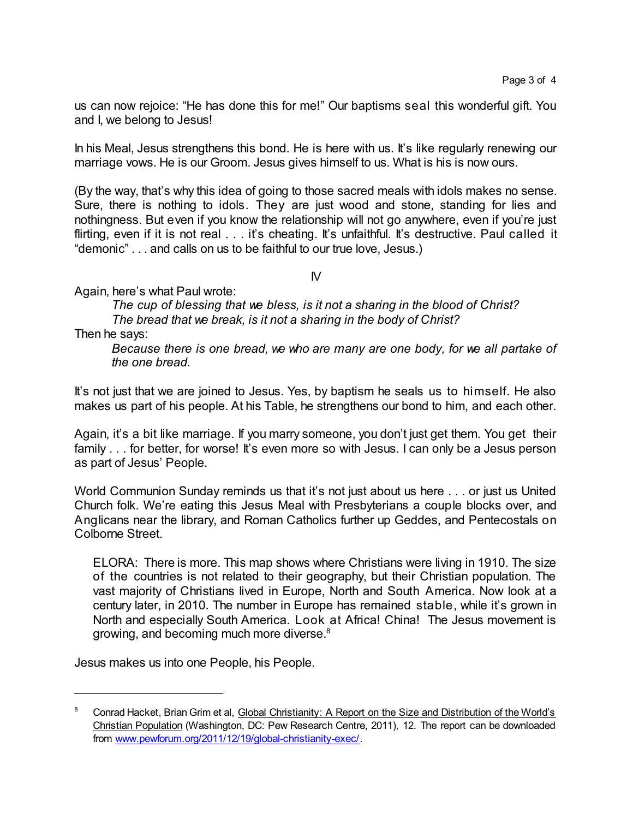us can now rejoice: "He has done this for me!" Our baptisms seal this wonderful gift. You and I, we belong to Jesus!

In his Meal, Jesus strengthens this bond. He is here with us. It's like regularly renewing our marriage vows. He is our Groom. Jesus gives himself to us. What is his is now ours.

(By the way, that's why this idea of going to those sacred meals with idols makes no sense. Sure, there is nothing to idols. They are just wood and stone, standing for lies and nothingness. But even if you know the relationship will not go anywhere, even if you're just flirting, even if it is not real . . . it's cheating. It's unfaithful. It's destructive. Paul called it "demonic" . . . and calls on us to be faithful to our true love, Jesus.)

 $\mathsf{N}$ 

Again, here's what Paul wrote:

*The cup of blessing that we bless, is it not a sharing in the blood of Christ? The bread that we break, is it not a sharing in the body of Christ?*

Then he says:

*Because there is one bread, we who are many are one body, for we all partake of the one bread.*

It's not just that we are joined to Jesus. Yes, by baptism he seals us to himself. He also makes us part of his people. At his Table, he strengthens our bond to him, and each other.

Again, it's a bit like marriage. If you marry someone, you don't just get them. You get their family . . . for better, for worse! It's even more so with Jesus. I can only be a Jesus person as part of Jesus' People.

World Communion Sunday reminds us that it's not just about us here . . . or just us United Church folk. We're eating this Jesus Meal with Presbyterians a couple blocks over, and Anglicans near the library, and Roman Catholics further up Geddes, and Pentecostals on Colborne Street.

ELORA: There is more. This map shows where Christians were living in 1910. The size of the countries is not related to their geography, but their Christian population. The vast majority of Christians lived in Europe, North and South America. Now look at a century later, in 2010. The number in Europe has remained stable, while it's grown in North and especially South America. Look at Africa! China! The Jesus movement is growing, and becoming much more diverse.<sup>8</sup>

Jesus makes us into one People, his People.

<sup>8</sup> Conrad Hacket, Brian Grim et al, Global Christianity: A Report on the Size and Distribution of the World's Christian Population (Washington, DC: Pew Research Centre, 2011), 12. The report can be downloaded from [www.pewforum.org/2011/12/19/global-christianity-exec/](http://www.pewforum.org/2011/12/19/global-christianity-exec/).